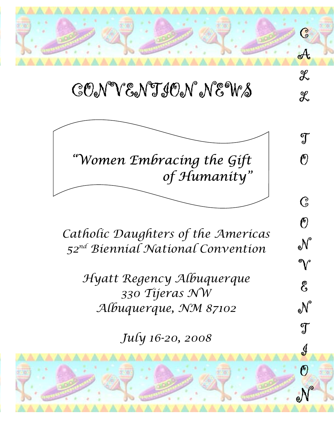

# CONVENTION NEWS

 $\chi$ 

T

 $\bigcirc$ 

 $\overline{G}$ 

 $\overline{O}$ 

N

V

 $\mathcal{E}$ 

e<sup>N°</sup>

T

J

 $\boldsymbol{\theta}$ 

<sup>o</sub>N</sup>



*Catholic Daughters of the Americas 52nd Biennial National Convention* 

*Hyatt Regency Albuquerque 330 Tijeras NW Albuquerque, NM 87102* 

*July 16-20, 2008*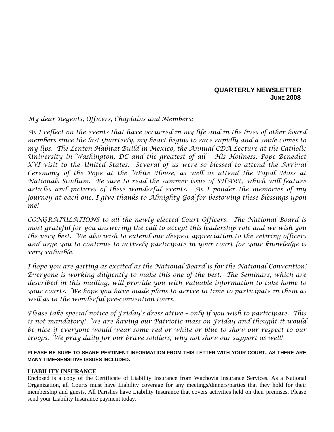#### **QUARTERLY NEWSLETTER JUNE 2008**

*My dear Regents, Officers, Chaplains and Members:* 

*As I reflect on the events that have occurred in my life and in the lives of other board members since the last Quarterly, my heart begins to race rapidly and a smile comes to my lips. The Lenten Habitat Build in Mexico, the Annual CDA Lecture at the Catholic University in Washington, DC and the greatest of all – His Holiness, Pope Benedict XVI visit to the United States. Several of us were so blessed to attend the Arrival Ceremony of the Pope at the White House, as well as attend the Papal Mass at Nationals Stadium. Be sure to read the summer issue of SHARE, which will feature articles and pictures of these wonderful events. As I ponder the memories of my journey at each one, I give thanks to Almighty God for bestowing these blessings upon me!* 

*CONGRATULATIONS to all the newly elected Court Officers. The National Board is most grateful for you answering the call to accept this leadership role and we wish you the very best. We also wish to extend our deepest appreciation to the retiring officers and urge you to continue to actively participate in your court for your knowledge is very valuable.* 

*I hope you are getting as excited as the National Board is for the National Convention! Everyone is working diligently to make this one of the best. The Seminars, which are described in this mailing, will provide you with valuable information to take home to your courts. We hope you have made plans to arrive in time to participate in them as well as in the wonderful pre-convention tours.* 

*Please take special notice of Friday's dress attire – only if you wish to participate. This is not mandatory! We are having our Patriotic mass on Friday and thought it would be nice if everyone would wear some red or white or blue to show our respect to our troops. We pray daily for our brave soldiers, why not show our support as well!* 

#### **PLEASE BE SURE TO SHARE PERTINENT INFORMATION FROM THIS LETTER WITH YOUR COURT, AS THERE ARE MANY TIME-SENSITIVE ISSUES INCLUDED.**

#### **LIABILITY INSURANCE**

Enclosed is a copy of the Certificate of Liability Insurance from Wachovia Insurance Services. As a National Organization, all Courts must have Liability coverage for any meetings/dinners/parties that they hold for their membership and guests. All Parishes have Liability Insurance that covers activities held on their premises. Please send your Liability Insurance payment today.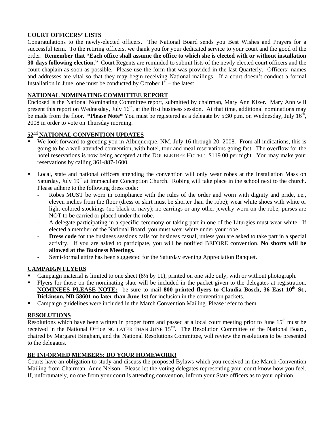#### **COURT OFFICERS' LISTS**

Congratulations to the newly-elected officers. The National Board sends you Best Wishes and Prayers for a successful term. To the retiring officers, we thank you for your dedicated service to your court and the good of the order. **Remember that "Each office shall assume the office to which she is elected with or without installation 30-days following election."** Court Regents are reminded to submit lists of the newly elected court officers and the court chaplain as soon as possible. Please use the form that was provided in the last Quarterly. Officers' names and addresses are vital so that they may begin receiving National mailings. If a court doesn't conduct a formal Installation in June, one must be conducted by October  $1<sup>st</sup>$  – the latest.

#### **NATIONAL NOMINATING COMMITTEE REPORT**

Enclosed is the National Nominating Committee report, submitted by chairman, Mary Ann Kizer. Mary Ann will present this report on Wednesday, July  $16<sup>th</sup>$ , at the first business session. At that time, additional nominations may be made from the floor. **\*Please Note\*** You must be registered as a delegate by 5:30 p.m. on Wednesday, July 16<sup>th</sup>, 2008 in order to vote on Thursday morning.

#### **52nd NATIONAL CONVENTION UPDATES**

- We look forward to greeting you in Albuquerque, NM, July 16 through 20, 2008. From all indications, this is going to be a well-attended convention, with hotel, tour and meal reservations going fast. The overflow for the hotel reservations is now being accepted at the DOUBLETREE HOTEL: \$119.00 per night. You may make your reservations by calling 361-887-1600.
- Local, state and national officers attending the convention will only wear robes at the Installation Mass on Saturday, July 19<sup>th</sup> at Immaculate Conception Church. Robing will take place in the school next to the church. Please adhere to the following dress code:
	- Robes MUST be worn in compliance with the rules of the order and worn with dignity and pride, i.e., eleven inches from the floor (dress or skirt must be shorter than the robe); wear white shoes with white or light-colored stockings (no black or navy); no earrings or any other jewelry worn on the robe; purses are NOT to be carried or placed under the robe.
	- A delegate participating in a specific ceremony or taking part in one of the Liturgies must wear white. If elected a member of the National Board, you must wear white under your robe.
	- **Dress code** for the business sessions calls for business casual, unless you are asked to take part in a special activity. If you are asked to participate, you will be notified BEFORE convention. **No shorts will be allowed at the Business Meetings.**
	- Semi-formal attire has been suggested for the Saturday evening Appreciation Banquet.

#### **CAMPAIGN FLYERS**

- Campaign material is limited to one sheet (8½ by 11), printed on one side only, with or without photograph.
- Flyers for those on the nominating slate will be included in the packet given to the delegates at registration. **NOMINEES PLEASE NOTE:** be sure to mail 800 printed flyers to Claudia Bosch, 36 East 10<sup>th</sup> St., **Dickinson, ND 58601 no later than June 1st** for inclusion in the convention packets.
- **Campaign guidelines were included in the March Convention Mailing. Please refer to them.**

#### **RESOLUTIONS**

Resolutions which have been written in proper form and passed at a local court meeting prior to June 15<sup>th</sup> must be received in the National Office NO LATER THAN JUNE 15<sup>TH</sup>. The Resolution Committee of the National Board, chaired by Margaret Bingham, and the National Resolutions Committee, will review the resolutions to be presented to the delegates.

#### **BE INFORMED MEMBERS: DO YOUR HOMEWORK!**

Courts have an obligation to study and discuss the proposed Bylaws which you received in the March Convention Mailing from Chairman, Anne Nelson. Please let the voting delegates representing your court know how you feel. If, unfortunately, no one from your court is attending convention, inform your State officers as to your opinion.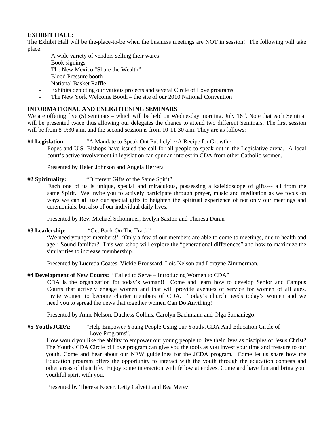#### **EXHIBIT HALL:**

The Exhibit Hall will be the-place-to-be when the business meetings are NOT in session! The following will take place:

- A wide variety of vendors selling their wares
- Book signings
- The New Mexico "Share the Wealth"
- Blood Pressure booth
- National Basket Raffle
- Exhibits depicting our various projects and several Circle of Love programs
- The New York Welcome Booth the site of our 2010 National Convention

#### **INFORMATIONAL AND ENLIGHTENING SEMINARS**

We are offering five (5) seminars – which will be held on Wednesday morning, July  $16<sup>th</sup>$ . Note that each Seminar will be presented twice thus allowing our delegates the chance to attend two different Seminars. The first session will be from 8-9:30 a.m. and the second session is from 10-11:30 a.m. They are as follows:

#### **#1 Legislation**: "A Mandate to Speak Out Publicly" ~A Recipe for Growth~

Popes and U.S. Bishops have issued the call for all people to speak out in the Legislative arena. A local court's active involvement in legislation can spur an interest in CDA from other Catholic women.

Presented by Helen Johnson and Angela Herrera

#### **#2 Spirituality:** "Different Gifts of the Same Spirit"

Each one of us is unique, special and miraculous, possessing a kaleidoscope of gifts--- all from the same Spirit. We invite you to actively participate through prayer, music and meditation as we focus on ways we can all use our special gifts to heighten the spiritual experience of not only our meetings and ceremonials, but also of our individual daily lives.

Presented by Rev. Michael Schommer, Evelyn Saxton and Theresa Duran

**#3 Leadership:** "Get Back On The Track"

'We need younger members!' 'Only a few of our members are able to come to meetings, due to health and age!' Sound familiar? This workshop will explore the "generational differences" and how to maximize the similarities to increase membership.

Presented by Lucretia Coates, Vickie Broussard, Lois Nelson and Lorayne Zimmerman.

#### **#4 Development of New Courts:** "Called to Serve – Introducing Women to CDA"

 CDA is the organization for today's woman!! Come and learn how to develop Senior and Campus Courts that actively engage women and that will provide avenues of service for women of all ages. Invite women to become charter members of CDA. Today's church needs today's women and we need you to spread the news that together women **C**an **D**o **A**nything!

Presented by Anne Nelson, Duchess Collins, Carolyn Bachmann and Olga Samaniego.

**#5 Youth/JCDA:** "Help Empower Young People Using our Youth/JCDA And Education Circle of Love Programs".

How would you like the ability to empower our young people to live their lives as disciples of Jesus Christ? The Youth/JCDA Circle of Love program can give you the tools as you invest your time and treasure to our youth. Come and hear about our NEW guidelines for the JCDA program. Come let us share how the Education program offers the opportunity to interact with the youth through the education contests and other areas of their life. Enjoy some interaction with fellow attendees. Come and have fun and bring your youthful spirit with you.

Presented by Theresa Kocer, Letty Calvetti and Bea Merez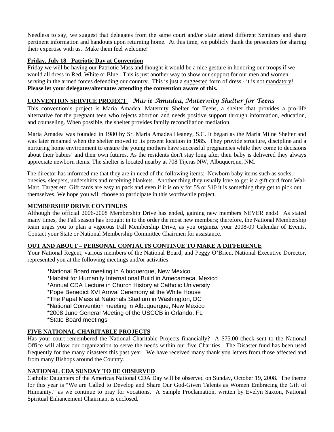Needless to say, we suggest that delegates from the same court and/or state attend different Seminars and share pertinent information and handouts upon returning home. At this time, we publicly thank the presenters for sharing their expertise with us. Make them feel welcome!

#### **Friday, July 18 - Patriotic Day at Convention**

Friday we will be having our Patriotic Mass and thought it would be a nice gesture in honoring our troops if we would all dress in Red, White or Blue. This is just another way to show our support for our men and women serving in the armed forces defending our country. This is just a suggested form of dress - it is not mandatory! **Please let your delegates/alternates attending the convention aware of this.**

#### **CONVENTION SERVICE PROJECT** *Marie Amadea, Maternity Shelter for Teens*

This convention's project is Maria Amadea, Maternity Shelter for Teens, a shelter that provides a pro-life alternative for the pregnant teen who rejects abortion and needs positive support through information, education, and counseling. When possible, the shelter provides family reconciliation mediation.

Maria Amadea was founded in 1980 by Sr. Maria Amadea Heaney, S.C. It began as the Maria Milne Shelter and was later renamed when the shelter moved to its present location in 1985. They provide structure, discipline and a nurturing home environment to ensure the young mothers have successful pregnancies while they come to decisions about their babies' and their own futures. As the residents don't stay long after their baby is delivered they always appreciate newborn items. The shelter is located nearby at 708 Tijeras NW, Albuquerque, NM.

The director has informed me that they are in need of the following items: Newborn baby items such as socks, onesies**,** sleepers, undershirts and receiving blankets. Another thing they usually love to get is a gift card from Wal-Mart, Target etc. Gift cards are easy to pack and even if it is only for 5\$ or \$10 it is something they get to pick out themselves. We hope you will choose to participate in this worthwhile project.

#### **MEMBERSHIP DRIVE CONTINUES**

Although the official 2006-2008 Membership Drive has ended, gaining new members NEVER ends! As stated many times, the Fall season has brought in to the order the most new members; therefore, the National Membership team urges you to plan a vigorous Fall Membership Drive, as you organize your 2008-09 Calendar of Events. Contact your State or National Membership Committee Chairmen for assistance.

#### **OUT AND ABOUT – PERSONAL CONTACTS CONTINUE TO MAKE A DIFFERENCE**

Your National Regent, various members of the National Board, and Peggy O'Brien, National Executive Dorector, represented you at the following meetings and/or activities:

\*National Board meeting in Albuquerque, New Mexico \*Habitat for Humanity International Build in Amecameca, Mexico \*Annual CDA Lecture in Church History at Catholic University \*Pope Benedict XVI Arrival Ceremony at the White House \*The Papal Mass at Nationals Stadium in Washington, DC \*National Convention meeting in Albuquerque, New Mexico \*2008 June General Meeting of the USCCB in Orlando, FL \*State Board meetings

#### **FIVE NATIONAL CHARITABLE PROJECTS**

Has your court remembered the National Charitable Projects financially? A \$75.00 check sent to the National Office will allow our organization to serve the needs within our five Charities. The Disaster fund has been used frequently for the many disasters this past year. We have received many thank you letters from those affected and from many Bishops around the Country.

#### **NATIONAL CDA SUNDAY TO BE OBSERVED**

Catholic Daughters of the Americas National CDA Day will be observed on Sunday, October 19, 2008. The theme for this year is "We are Called to Develop and Share Our God-Given Talents as Women Embracing the Gift of Humanity," as we continue to pray for vocations. A Sample Proclamation, written by Evelyn Saxton, National Spiritual Enhancement Chairman, is enclosed.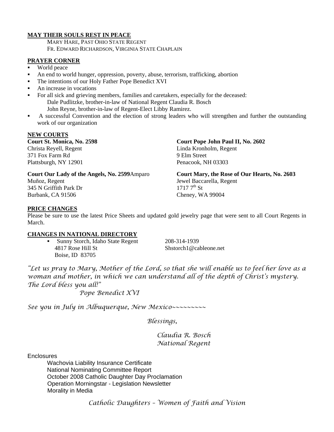#### **MAY THEIR SOULS REST IN PEACE**

 MARY HARE, PAST OHIO STATE REGENT FR. EDWARD RICHARDSON, VIRGINIA STATE CHAPLAIN

#### **PRAYER CORNER**

- World peace
- An end to world hunger, oppression, poverty, abuse, terrorism, trafficking, abortion
- The intentions of our Holy Father Pope Benedict XVI
- An increase in vocations
- For all sick and grieving members, families and caretakers, especially for the deceased: Dale Pudlitzke, brother-in-law of National Regent Claudia R. Bosch John Reyne, brother-in-law of Regent-Elect Libby Ramirez.
- A successful Convention and the election of strong leaders who will strengthen and further the outstanding work of our organization

#### **NEW COURTS**

**Court St. Monica, No. 2598**  Christa Reyell, Regent 371 Fox Farm Rd Plattsburgh, NY 12901

**Court Our Lady of the Angels, No. 2599**Amparo Muñoz, Regent 345 N Griffith Park Dr Burbank, CA 91506

**Court Pope John Paul II, No. 2602** Linda Kronholm, Regent 9 Elm Street Penacook, NH 03303

**Court Mary, the Rose of Our Hearts, No. 2603**  Jewel Baccarella, Regent  $17177^{th}$  St Cheney, WA 99004

#### **PRICE CHANGES**

Please be sure to use the latest Price Sheets and updated gold jewelry page that were sent to all Court Regents in March.

#### **CHANGES IN NATIONAL DIRECTORY**

 Sunny Storch, Idaho State Regent 208-314-1939 4817 Rose Hill St Shstorch1@cableone.net Boise, ID 83705

*"Let us pray to Mary, Mother of the Lord, so that she will enable us to feel her love as a woman and mother, in which we can understand all of the depth of Christ's mystery. The Lord bless you all!"* 

 *Pope Benedict XVI* 

*See you in July in Albuquerque, New Mexico~~~~~~~~~* 

 *Blessings,* 

 *Claudia R. Bosch National Regent* 

**Enclosures** 

 Wachovia Liability Insurance Certificate National Nominating Committee Report October 2008 Catholic Daughter Day Proclamation Operation Morningstar - Legislation Newsletter Morality in Media

*Catholic Daughters – Women of Faith and Vision*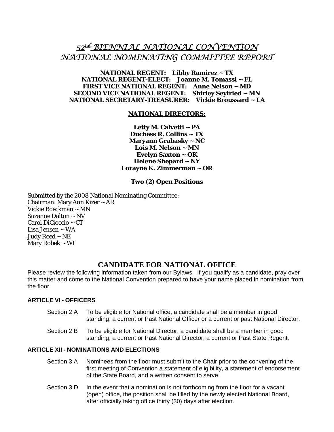### *52nd BIENNIAL NATIONAL CONVENTION NATIONAL NOMINATING COMMITTEE REPORT*

#### **NATIONAL REGENT: Libby Ramirez ~ TX NATIONAL REGENT-ELECT: Joanne M. Tomassi ~ FL FIRST VICE NATIONAL REGENT: Anne Nelson ~ MD SECOND VICE NATIONAL REGENT: Shirley Seyfried ~ MN NATIONAL SECRETARY-TREASURER: Vickie Broussard ~ LA**

#### **NATIONAL DIRECTORS:**

**Letty M. Calvetti ~ PA Duchess R. Collins ~ TX Maryann Grabasky ~ NC Lois M. Nelson ~ MN Evelyn Saxton ~ OK Helene Shepard ~ NY Lorayne K. Zimmerman ~ OR** 

#### **Two (2) Open Positions**

Submitted by the 2008 National Nominating Committee: Chairman: Mary Ann Kizer ~ AR Vickie Boeckman ~ MN Suzanne Dalton ~ NV Carol DiCioccio ~ CT Lisa Jensen ~ WA Judy Reed ~ NE Mary Robek ~ WI

#### **CANDIDATE FOR NATIONAL OFFICE**

Please review the following information taken from our Bylaws. If you qualify as a candidate, pray over this matter and come to the National Convention prepared to have your name placed in nomination from the floor.

#### **ARTICLE VI - OFFICERS**

- Section 2 A To be eligible for National office, a candidate shall be a member in good standing, a current or Past National Officer or a current or past National Director.
- Section 2 B To be eligible for National Director, a candidate shall be a member in good standing, a current or Past National Director, a current or Past State Regent.

#### **ARTICLE XII - NOMINATIONS AND ELECTIONS**

- Section 3 A Nominees from the floor must submit to the Chair prior to the convening of the first meeting of Convention a statement of eligibility, a statement of endorsement of the State Board, and a written consent to serve.
- Section 3 D In the event that a nomination is not forthcoming from the floor for a vacant (open) office, the position shall be filled by the newly elected National Board, after officially taking office thirty (30) days after election.